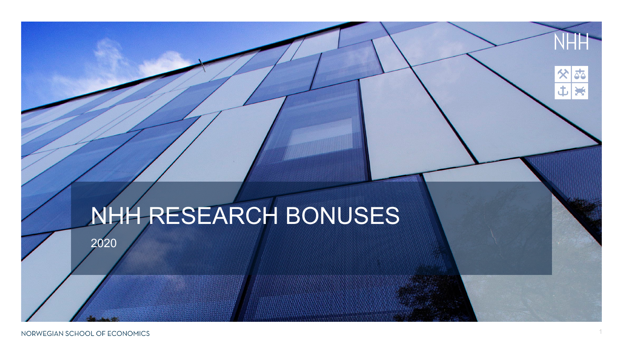## NHH RESEARCH BONUSES

2020

NORWEGIAN SCHOOL OF ECONOMICS

55

X

X

土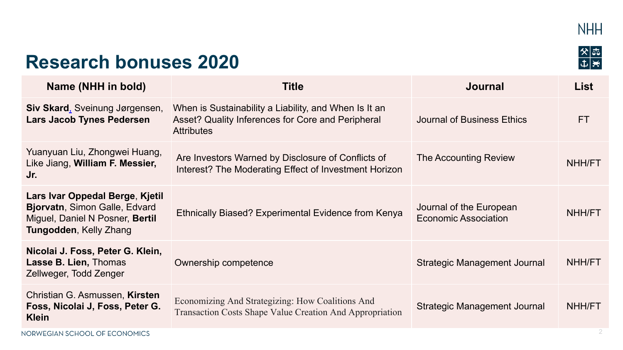

 $\frac{8}{1}$ 

## **Research bonuses 2020**

| Name (NHH in bold)                                                                                                                   | <b>Title</b>                                                                                                                    | <b>Journal</b>                                         | <b>List</b> |
|--------------------------------------------------------------------------------------------------------------------------------------|---------------------------------------------------------------------------------------------------------------------------------|--------------------------------------------------------|-------------|
| <b>Siv Skard, Sveinung Jørgensen,</b><br>Lars Jacob Tynes Pedersen                                                                   | When is Sustainability a Liability, and When Is It an<br>Asset? Quality Inferences for Core and Peripheral<br><b>Attributes</b> | Journal of Business Ethics                             | <b>FT</b>   |
| Yuanyuan Liu, Zhongwei Huang,<br>Like Jiang, William F. Messier,<br>Jr.                                                              | Are Investors Warned by Disclosure of Conflicts of<br>Interest? The Moderating Effect of Investment Horizon                     | <b>The Accounting Review</b>                           | NHH/FT      |
| Lars Ivar Oppedal Berge, Kjetil<br>Bjorvatn, Simon Galle, Edvard<br>Miguel, Daniel N Posner, Bertil<br><b>Tungodden, Kelly Zhang</b> | Ethnically Biased? Experimental Evidence from Kenya                                                                             | Journal of the European<br><b>Economic Association</b> | NHH/FT      |
| Nicolai J. Foss, Peter G. Klein,<br>Lasse B. Lien, Thomas<br>Zellweger, Todd Zenger                                                  | Ownership competence                                                                                                            | Strategic Management Journal                           | NHH/FT      |
| Christian G. Asmussen, Kirsten<br>Foss, Nicolai J, Foss, Peter G.<br><b>Klein</b>                                                    | Economizing And Strategizing: How Coalitions And<br>Transaction Costs Shape Value Creation And Appropriation                    | Strategic Management Journal                           | NHH/FT      |
| NORWEGIAN SCHOOL OF ECONOMICS                                                                                                        |                                                                                                                                 |                                                        | 2           |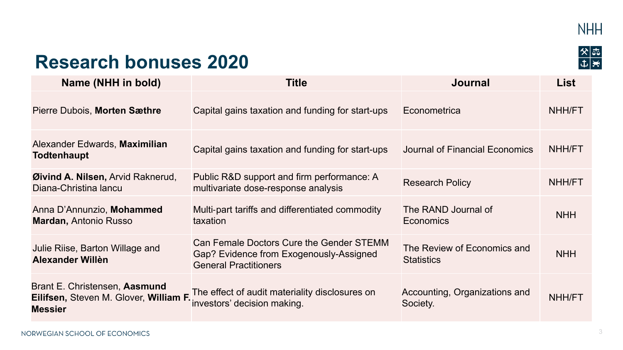

 $\frac{8}{1}$ 



## **Research bonuses 2020**

| Name (NHH in bold)                                                                        | <b>Title</b>                                                                                                        | <b>Journal</b>                                   | List       |
|-------------------------------------------------------------------------------------------|---------------------------------------------------------------------------------------------------------------------|--------------------------------------------------|------------|
| Pierre Dubois, Morten Sæthre                                                              | Capital gains taxation and funding for start-ups                                                                    | Econometrica                                     | NHH/FT     |
| Alexander Edwards, Maximilian<br><b>Todtenhaupt</b>                                       | Capital gains taxation and funding for start-ups                                                                    | Journal of Financial Economics                   | NHH/FT     |
| Øivind A. Nilsen, Arvid Raknerud,<br>Diana-Christina lancu                                | Public R&D support and firm performance: A<br>multivariate dose-response analysis                                   | <b>Research Policy</b>                           | NHH/FT     |
| Anna D'Annunzio, Mohammed<br><b>Mardan, Antonio Russo</b>                                 | Multi-part tariffs and differentiated commodity<br>taxation                                                         | The RAND Journal of<br>Economics                 | <b>NHH</b> |
| Julie Riise, Barton Willage and<br>Alexander Willen                                       | Can Female Doctors Cure the Gender STEMM<br>Gap? Evidence from Exogenously-Assigned<br><b>General Practitioners</b> | The Review of Economics and<br><b>Statistics</b> | <b>NHH</b> |
| Brant E. Christensen, Aasmund<br>Eilifsen, Steven M. Glover, William F.<br><b>Messier</b> | The effect of audit materiality disclosures on<br>investors' decision making.                                       | Accounting, Organizations and<br>Society.        | NHH/FT     |